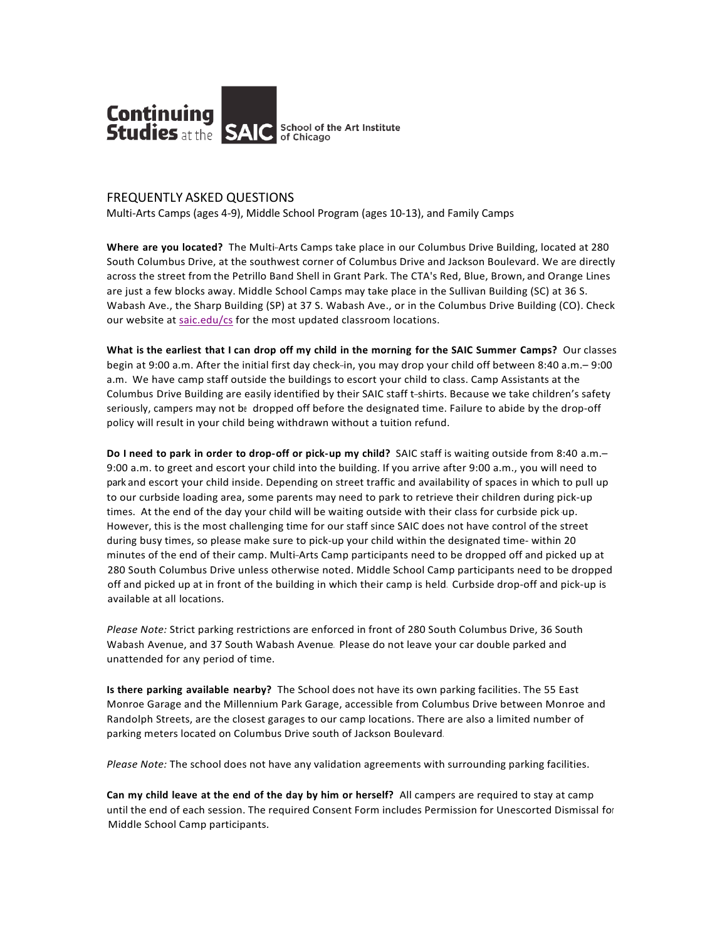

## **FREQUENTLY ASKED QUESTIONS**

Multi-Arts Camps (ages 4-9), Middle School Program (ages 10-13), and Family Camps

Where are you located? The Multi-Arts Camps take place in our Columbus Drive Building, located at 280 South Columbus Drive, at the southwest corner of Columbus Drive and Jackson Boulevard. We are directly across the street from the Petrillo Band Shell in Grant Park. The CTA's Red, Blue, Brown, and Orange Lines are just a few blocks away. Middle School Camps may take place in the Sullivan Building (SC) at 36 S. Wabash Ave., the Sharp Building (SP) at 37 S. Wabash Ave., or in the Columbus Drive Building (CO). Check our website at saic.edu/cs for the most updated classroom locations.

**What is the earliest that I can drop off my child in the morning for the SAIC Summer Camps?** Our classes begin at 9:00 a.m. After the initial first day check-in, you may drop your child off between 8:40 a.m. - 9:00 a.m. We have camp staff outside the buildings to escort your child to class. Camp Assistants at the Columbus Drive Building are easily identified by their SAIC staff t-shirts. Because we take children's safety seriously, campers may not be dropped off before the designated time. Failure to abide by the drop-off policy will result in your child being withdrawn without a tuition refund.

**Do I need to park in order to drop-off or pick-up my child?** SAIC staff is waiting outside from 8:40 a.m.– 9:00 a.m. to greet and escort your child into the building. If you arrive after 9:00 a.m., you will need to park and escort your child inside. Depending on street traffic and availability of spaces in which to pull up to our curbside loading area, some parents may need to park to retrieve their children during pick-up times. At the end of the day your child will be waiting outside with their class for curbside pick up. However, this is the most challenging time for our staff since SAIC does not have control of the street during busy times, so please make sure to pick-up your child within the designated time- within 20 minutes of the end of their camp. Multi-Arts Camp participants need to be dropped off and picked up at 280 South Columbus Drive unless otherwise noted. Middle School Camp participants need to be dropped off and picked up at in front of the building in which their camp is held. Curbside drop-off and pick-up is available at all locations.

*Please Note:* Strict parking restrictions are enforced in front of 280 South Columbus Drive, 36 South Wabash Avenue, and 37 South Wabash Avenue. Please do not leave your car double parked and unattended for any period of time.

**Is there parking available nearby?** The School does not have its own parking facilities. The 55 East Monroe Garage and the Millennium Park Garage, accessible from Columbus Drive between Monroe and Randolph Streets, are the closest garages to our camp locations. There are also a limited number of parking meters located on Columbus Drive south of Jackson Boulevard.

Please Note: The school does not have any validation agreements with surrounding parking facilities.

**Can my child leave at the end of the day by him or herself?** All campers are required to stay at camp until the end of each session. The required Consent Form includes Permission for Unescorted Dismissal for Middle School Camp participants.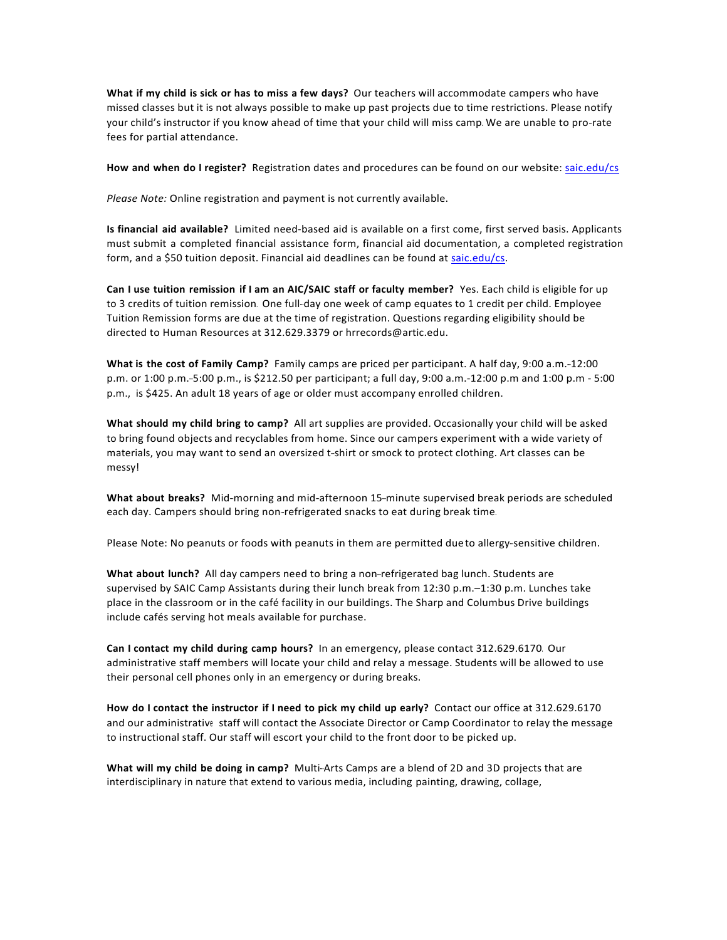**What if my child is sick or has to miss a few days? Our teachers will accommodate campers who have** missed classes but it is not always possible to make up past projects due to time restrictions. Please notify your child's instructor if you know ahead of time that your child will miss camp. We are unable to pro-rate fees for partial attendance.

How and when do I register? Registration dates and procedures can be found on our website: saic.edu/cs

*Please Note:* Online registration and payment is not currently available.

**Is financial aid available?** Limited need-based aid is available on a first come, first served basis. Applicants must submit a completed financial assistance form, financial aid documentation, a completed registration form, and a \$50 tuition deposit. Financial aid deadlines can be found at saic.edu/cs.

**Can I use tuition remission if I am an AIC/SAIC staff or faculty member?** Yes. Each child is eligible for up to 3 credits of tuition remission. One full-day one week of camp equates to 1 credit per child. Employee Tuition Remission forms are due at the time of registration. Questions regarding eligibility should be directed to Human Resources at 312.629.3379 or hrrecords@artic.edu.

What is the cost of Family Camp? Family camps are priced per participant. A half day, 9:00 a.m.-12:00 p.m. or 1:00 p.m.-5:00 p.m., is \$212.50 per participant; a full day, 9:00 a.m.-12:00 p.m and 1:00 p.m - 5:00 p.m., is \$425. An adult 18 years of age or older must accompany enrolled children.

**What should my child bring to camp?** All art supplies are provided. Occasionally your child will be asked to bring found objects and recyclables from home. Since our campers experiment with a wide variety of materials, you may want to send an oversized t-shirt or smock to protect clothing. Art classes can be messy!

What about breaks? Mid-morning and mid-afternoon 15-minute supervised break periods are scheduled each day. Campers should bring non-refrigerated snacks to eat during break time.

Please Note: No peanuts or foods with peanuts in them are permitted due to allergy-sensitive children.

What about lunch? All day campers need to bring a non-refrigerated bag lunch. Students are supervised by SAIC Camp Assistants during their lunch break from  $12:30$  p.m. $-1:30$  p.m. Lunches take place in the classroom or in the café facility in our buildings. The Sharp and Columbus Drive buildings include cafés serving hot meals available for purchase.

**Can I contact my child during camp hours?** In an emergency, please contact 312.629.6170. Our administrative staff members will locate your child and relay a message. Students will be allowed to use their personal cell phones only in an emergency or during breaks.

**How do I contact the instructor if I need to pick my child up early?** Contact our office at 312.629.6170 and our administrative staff will contact the Associate Director or Camp Coordinator to relay the message to instructional staff. Our staff will escort your child to the front door to be picked up.

**What will my child be doing in camp?** Multi-Arts Camps are a blend of 2D and 3D projects that are interdisciplinary in nature that extend to various media, including painting, drawing, collage,